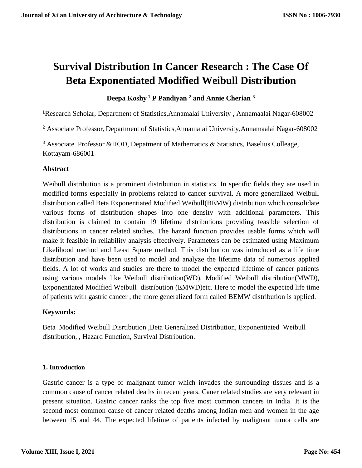# **Survival Distribution In Cancer Research : The Case Of Beta Exponentiated Modified Weibull Distribution**

# **Deepa Koshy <sup>1</sup> P Pandiyan <sup>2</sup> and Annie Cherian <sup>3</sup>**

**<sup>1</sup>**Research Scholar, Department of Statistics,Annamalai University , Annamaalai Nagar-608002

<sup>2</sup> Associate Professor, Department of Statistics,Annamalai University,Annamaalai Nagar-608002

<sup>3</sup> Associate Professor &HOD, Depatment of Mathematics & Statistics, Baselius Colleage, Kottayam-686001

## **Abstract**

Weibull distribution is a prominent distribution in statistics. In specific fields they are used in modified forms especially in problems related to cancer survival. A more generalized Weibull distribution called Beta Exponentiated Modified Weibull(BEMW) distribution which consolidate various forms of distribution shapes into one density with additional parameters. This distribution is claimed to contain 19 lifetime distributions providing feasible selection of distributions in cancer related studies. The hazard function provides usable forms which will make it feasible in reliability analysis effectively. Parameters can be estimated using Maximum Likelihood method and Least Square method. This distribution was introduced as a life time distribution and have been used to model and analyze the lifetime data of numerous applied fields. A lot of works and studies are there to model the expected lifetime of cancer patients using various models like Weibull distribution(WD), Modified Weibull distribution(MWD), Exponentiated Modified Weibull distribution (EMWD)etc. Here to model the expected life time of patients with gastric cancer , the more generalized form called BEMW distribution is applied.

## **Keywords:**

Beta Modified Weibull Disrtibution ,Beta Generalized Distribution, Exponentiated Weibull distribution, , Hazard Function, Survival Distribution.

## **1. Introduction**

Gastric cancer is a type of malignant tumor which invades the surrounding tissues and is a common cause of cancer related deaths in recent years. Caner related studies are very relevant in present situation. Gastric cancer ranks the top five most common cancers in India. It is the second most common cause of cancer related deaths among Indian men and women in the age between 15 and 44. The expected lifetime of patients infected by malignant tumor cells are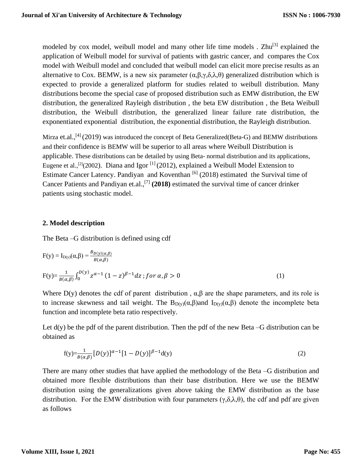modeled by cox model, weibull model and many other life time models. Zhu<sup>[3]</sup> explained the application of Weibull model for survival of patients with gastric cancer, and compares the Cox model with Weibull model and concluded that weibull model can elicit more precise results as an alternative to Cox. BEMW, is a new six parameter  $(\alpha, \beta, \gamma, \delta, \lambda, \theta)$  generalized distribution which is expected to provide a generalized platform for studies related to weibull distribution. Many distributions become the special case of proposed distribution such as EMW distribution, the EW distribution, the generalized Rayleigh distribution , the beta EW distribution , the Beta Weibull distribution, the Weibull distribution, the generalized linear failure rate distribution, the exponentiated exponential distribution, the exponential distribution, the Rayleigh distribution.

Mirza et.al.,<sup>[4]</sup> (2019) was introduced the concept of Beta Generalized(Beta-G) and BEMW distributions and their confidence is BEMW will be superior to all areas where Weibull Distribution is applicable. These distributions can be detailed by using Beta- normal distribution and its applications, Eugene et al.,<sup>[2]</sup>(2002). Diana and Igor<sup>[1]</sup> (2012), explained a Weibull Model Extension to Estimate Cancer Latency. Pandiyan and Koventhan [6] (2018) estimated the Survival time of Cancer Patients and Pandiyan et.al.,[7] **(2018)** estimated the survival time of cancer drinker patients using stochastic model.

## **2. Model description**

The Beta –G distribution is defined using cdf

$$
F(y) = I_{D(y)}(\alpha, \beta) = \frac{B_{D(y)}(\alpha, \beta)}{B(\alpha, \beta)}
$$
  
\n
$$
F(y) = \frac{1}{B(\alpha, \beta)} \int_0^{D(y)} z^{\alpha - 1} (1 - z)^{\beta - 1} dz \; ; \; for \; \alpha, \beta > 0
$$
\n(1)

Where  $D(y)$  denotes the cdf of parent distribution,  $\alpha, \beta$  are the shape parameters, and its role is to increase skewness and tail weight. The  $B_{D(v)}(\alpha,\beta)$  and  $I_{D(v)}(\alpha,\beta)$  denote the incomplete beta function and incomplete beta ratio respectively.

Let  $d(y)$  be the pdf of the parent distribution. Then the pdf of the new Beta  $-G$  distribution can be obtained as

$$
f(y) = \frac{1}{B(\alpha, \beta)} [D(y)]^{\alpha - 1} [1 - D(y)]^{\beta - 1} d(y)
$$
 (2)

There are many other studies that have applied the methodology of the Beta –G distribution and obtained more flexible distributions than their base distribution. Here we use the BEMW distribution using the generalizations given above taking the EMW distribution as the base distribution. For the EMW distribution with four parameters  $(\gamma, \delta, \lambda, \theta)$ , the cdf and pdf are given as follows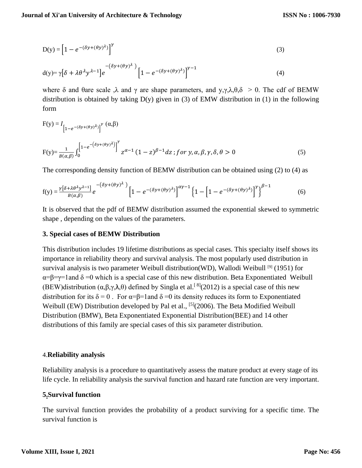$$
D(y) = \left[1 - e^{-(\delta y + (\theta y)^{\lambda})}\right]^{\gamma}
$$
 (3)

$$
d(y) = \gamma \left[ \delta + \lambda \theta^{\lambda} y^{\lambda - 1} \right] e^{-\left( \delta y + (\theta y)^{\lambda} \right)} \left[ 1 - e^{-\left( \delta y + (\theta y)^{\lambda} \right)} \right]^{\gamma - 1}
$$
 (4)

where  $\delta$  and  $\theta$ are scale  $\lambda$  and  $\gamma$  are shape parameters, and  $y, \gamma, \lambda, \theta, \delta > 0$ . The cdf of BEMW distribution is obtained by taking  $D(y)$  given in (3) of EMW distribution in (1) in the following form

$$
F(y) = I_{\left[1 - e^{-(\delta y + (\theta y)^{\lambda})}\right]^{\gamma}} (\alpha, \beta)
$$
  
\n
$$
F(y) = \frac{1}{B(\alpha, \beta)} \int_0^{\left[1 - e^{-(\delta y + (\theta y)^{\lambda})}\right]^{\gamma}} z^{\alpha - 1} (1 - z)^{\beta - 1} dz; \text{ for } y, \alpha, \beta, \gamma, \delta, \theta > 0
$$
\n(5)

The corresponding density function of BEMW distribution can be obtained using (2) to (4) as

$$
f(y) = \frac{\gamma[\delta + \lambda \theta^{\lambda} y^{\lambda - 1}]}{B(\alpha, \beta)} e^{-\left(\delta y + (\theta y)^{\lambda}\right)} \left[1 - e^{-\left(\delta y + (\theta y)^{\lambda}\right)}\right]^{\alpha \gamma - 1} \left\{1 - \left[1 - e^{-\left(\delta y + (\theta y)^{\lambda}\right)}\right]^{\gamma}\right\}^{\beta - 1}
$$
(6)

It is observed that the pdf of BEMW distribution assumed the exponential skewed to symmetric shape , depending on the values of the parameters.

### **3. Special cases of BEMW Distribution**

This distribution includes 19 lifetime distributions as special cases. This specialty itself shows its importance in reliability theory and survival analysis. The most popularly used distribution in survival analysis is two parameter Weibull distribution(WD), Wallodi Weibull<sup>[9]</sup> (1951) for  $\alpha = \beta = \gamma = 1$  and  $\delta = 0$  which is a special case of this new distribution. Beta Exponentiated Weibull (BEW)distribution  $(\alpha, \beta, \gamma, \lambda, \theta)$  defined by Singla et al.<sup>[8]</sup>(2012) is a special case of this new distribution for its  $\delta = 0$ . For  $\alpha = \beta = 1$  and  $\delta = 0$  its density reduces its form to Exponentiated Weibull (EW) Distribution developed by Pal et al.,  $^{[5]}$ (2006). The Beta Modified Weibull Distribution (BMW), Beta Exponentiated Exponential Distribution(BEE) and 14 other distributions of this family are special cases of this six parameter distribution.

#### 4.**Reliability analysis**

Reliability analysis is a procedure to quantitatively assess the mature product at every stage of its life cycle. In reliability analysis the survival function and hazard rate function are very important.

# **5.Survival function**

The survival function provides the probability of a product surviving for a specific time. The survival function is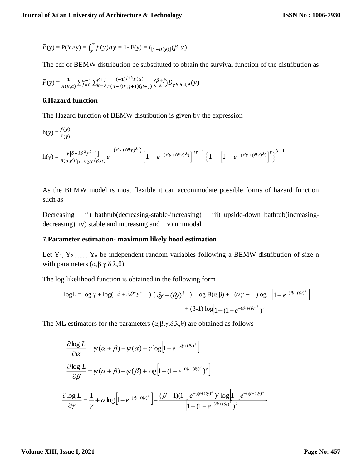$$
\bar{F}(y) = P(Y > y) = \int_{y}^{\infty} f(y) dy = 1 - F(y) = I_{[1 - D(y)]}(\beta, \alpha)
$$

The cdf of BEMW distribution be substituted to obtain the survival function of the distribution as

$$
\overline{F}(y) = \frac{1}{B(\beta,\alpha)} \sum_{j=0}^{\alpha-1} \sum_{k=0}^{\beta+j} \frac{(-1)^{j+k} \Gamma(\alpha)}{\Gamma(\alpha-j) \Gamma(j+1)(\beta+j)} {\beta+j \choose k} D_{\gamma k, \delta, \lambda, \theta}(y)
$$

#### **6.Hazard function**

The Hazard function of BEMW distribution is given by the expression

h(y) = 
$$
\frac{f(y)}{\bar{F}(y)}
$$
  
\nh(y) =  $\frac{\gamma[\delta + \lambda \theta^{\lambda} y^{\lambda - 1}]}{B(\alpha, \beta)I_{[1 - D(y)]}(\beta, \alpha)} e^{- (\delta y + (\theta y)^{\lambda})} \left[ 1 - e^{-(\delta y + (\theta y)^{\lambda})} \right]^{\alpha y - 1} \left\{ 1 - \left[ 1 - e^{-(\delta y + (\theta y)^{\lambda})} \right]^{\gamma} \right\}^{\beta - 1}$ 

As the BEMW model is most flexible it can accommodate possible forms of hazard function such as

Decreasing ii) bathtub(decreasing-stable-increasing) iii) upside-down bathtub(increasingdecreasing) iv) stable and increasing and  $v$ ) unimodal

#### **7.Parameter estimation- maximum likely hood estimation**

Let  $Y_1, Y_2, \ldots, Y_n$  be independent random variables following a BEMW distribution of size n with parameters  $(\alpha, \beta, \gamma, \delta, \lambda, \theta)$ .

The log likelihood function is obtained in the following form

$$
\log L = \log \gamma + \log(\delta + \lambda \theta^{\lambda} y^{\lambda - 1}) - (\delta y + (\theta y)^{\lambda}) - \log B(\alpha, \beta) + (\alpha \gamma - 1) \log \left[1 - e^{-(\delta y + (\theta y)^{\lambda})}\right] + (\beta - 1) \log \left[1 - (1 - e^{-(\delta y + (\theta y)^{\lambda})})^{\gamma}\right]
$$

The ML estimators for the parameters  $(\alpha, \beta, \gamma, \delta, \lambda, \theta)$  are obtained as follows

$$
\frac{\partial \log L}{\partial \alpha} = \psi(\alpha + \beta) - \psi(\alpha) + \gamma \log \left[ 1 - e^{-(\delta y + (\theta y)^2)} \right]
$$

$$
\frac{\partial \log L}{\partial \beta} = \psi(\alpha + \beta) - \psi(\beta) + \log \left[ 1 - (1 - e^{-(\delta y + (\theta y)^2)})^{\gamma} \right]
$$

$$
\frac{\partial \log L}{\partial \gamma} = \frac{1}{\gamma} + \alpha \log \left[ 1 - e^{-(\delta y + (\theta y)^2)} \right] - \frac{(\beta - 1)(1 - e^{-(\delta y + (\theta y)^2})^{\gamma} \log \left[ 1 - e^{-(\delta y + (\theta y)^2}) \right]}{\left[ 1 - (1 - e^{-(\delta y + (\theta y)^2})^{\gamma} \right]}
$$

#### **Volume XIII, Issue I, 2021**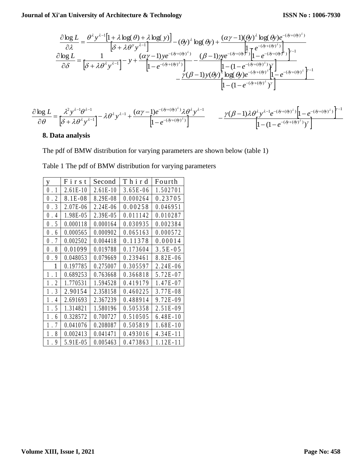**Xi'an University of Architecture & Technology**\n**ISSN No : 100**\n
$$
\frac{\partial \log L}{\partial \lambda} = \frac{\theta^{\lambda} y^{\lambda-1} \left[ 1 + \lambda \log(\theta) + \lambda \log(y) \right]}{\left[ \delta + \lambda \theta^{y} y^{\lambda-1} \right]} - (\theta y)^{\lambda} \log(\theta y) + \frac{(\alpha \gamma - 1)(\theta y)^{\lambda} \log(\theta y) e^{-(\delta y + (\theta y)^{\lambda})}}{\left[ 1 - e^{-(\delta y + (\theta y)^{\lambda})} \right]} \frac{\partial \log L}{\partial \delta} = \frac{1}{\left[ \delta + \lambda \theta^{\lambda} y^{\lambda-1} \right]} - y + \frac{(\alpha \gamma - 1) y e^{-(\delta y + (\theta y)^{\lambda})}}{\left[ 1 - e^{-(\delta y + (\theta y)^{\lambda})} \right]} - \frac{(\beta - 1) y e^{-(\delta y + (\theta y)^{\lambda})} \left[ 1 - e^{-(\delta y + (\theta y)^{\lambda})} \right]^{\lambda}}{\left[ 1 - (1 - e^{-(\delta y + (\theta y)^{\lambda})}) \right]^{\lambda}} \frac{\gamma}{\left[ 1 - (1 - e^{-(\delta y + (\theta y)^{\lambda})}) \right]^{\lambda}} \frac{\gamma}{\left[ 1 - (1 - e^{-(\delta y + (\theta y)^{\lambda})}) \right]^{\lambda}} \frac{\gamma}{\left[ 1 - (1 - e^{-(\delta y + (\theta y)^{\lambda})}) \right]^{\lambda}} \frac{\gamma}{\left[ 1 - (1 - e^{-(\delta y + (\theta y)^{\lambda})}) \right]^{\lambda}} \frac{\gamma}{\left[ 1 - (1 - e^{-(\delta y + (\theta y)^{\lambda})}) \right]^{\lambda}} \frac{\gamma}{\left[ 1 - (1 - e^{-(\delta y + (\theta y)^{\lambda})}) \right]^{\lambda}} \frac{\gamma}{\left[ 1 - (1 - e^{-(\delta y + (\theta y)^{\lambda})}) \right]^{\lambda}} \frac{\gamma}{\left[ 1 - (1 - e^{-(\delta y + (\theta y)^{\lambda})}) \right]^{\lambda}} \frac{\gamma}{\left[ 1 - (1 - e^{-(\delta y + (\theta y)^{\lambda})}) \right]^{\lambda}} \frac{\gamma}{\left[ 1 - (1 - e^{-(\delta y + (\theta y)^{\lambda})}) \right]^{\lambda}} \frac{\gamma}{\left[ 1 - (1 - e^{-(\delta y + (\theta y)^{\lambda})}) \right]^{\lambda}} \frac{\gamma}{\left[ 1 - (
$$

$$
\frac{\partial \log L}{\partial \theta} = \frac{\lambda^2 y^{\lambda - 1} \theta^{\lambda - 1}}{\left[\delta + \lambda \theta^{\lambda} y^{\lambda - 1}\right]} - \lambda \theta^{\lambda} y^{\lambda - 1} + \frac{(\alpha \gamma - 1) e^{-(\delta y + (\theta y)^{\lambda})} \lambda \theta^{\lambda} y^{\lambda - 1}}{\left[1 - e^{-(\delta y + (\theta y)^{\lambda})}\right]} \qquad - \frac{\gamma (\beta - 1) \lambda \theta^{\lambda} y^{\lambda - 1} e^{-(\delta y + (\theta y)^{\lambda})} \left[1 - e^{-(\delta y + (\theta y)^{\lambda})} \right]^{\gamma - 1}}{\left[1 - (1 - e^{-(\delta y + (\theta y)^{\lambda})})^{\gamma}\right]}
$$

# **8. Data analysis**

The pdf of BMW distribution for varying parameters are shown below (table 1)

Table 1 The pdf of BMW distribution for varying parameters

| y           | First      | Second     | Third      | Fourth       |
|-------------|------------|------------|------------|--------------|
| 0.1         | $2.61E-10$ | $2.61E-10$ | $3.65E-06$ | 1.502701     |
| 0.2         | 8.1E-08    | 8.29E-08   | 0.000264   | 0.23705      |
| 0.3         | 2.07E-06   | 2.24E-06   | 0.00258    | 0.046951     |
| 0.4         | 1.98E-05   | 2.39E-05   | 0.011142   | 0.010287     |
| 0.5         | 0.000118   | 0.000164   | 0.030935   | 0.002384     |
| 0.6         | 0.000565   | 0.000902   | 0.065163   | 0.000572     |
| 0.7         | 0.002502   | 0.004418   | 0.11378    | 0.00014      |
| 0.8         | 0.01099    | 0.019788   | 0.173604   | $3.5E - 0.5$ |
| 0.9         | 0.048053   | 0.079669   | 0.239461   | $8.82E - 06$ |
| 1           | 0.197785   | 0.275007   | 0.305597   | $2.24E-06$   |
| $1\,$ , $1$ | 0.689253   | 0.763668   | 0.366818   | 5.72E-07     |
| 1.2         | 1.770531   | 1.594528   | 0.419179   | $1.47E - 07$ |
| 1.3         | 2.90154    | 2.358158   | 0.460225   | $3.77E - 08$ |
| 1.4         | 2.691693   | 2.367239   | 0.488914   | 9.72E-09     |
| 1.5         | 1.314821   | 1.580196   | 0.505358   | $2.51E-09$   |
| 1.6         | 0.328572   | 0.700727   | 0.510505   | $6.48E-10$   |
| 1.7         | 0.041076   | 0.208087   | 0.505819   | $1.68E-10$   |
| 1.8         | 0.002413   | 0.041471   | 0.493016   | $4.34E - 11$ |
| 1.9         | 5.91E-05   | 0.005463   | 0.473863   | $1.12E-11$   |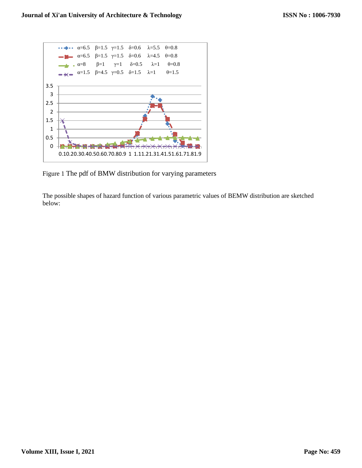

Figure 1 The pdf of BMW distribution for varying parameters

The possible shapes of hazard function of various parametric values of BEMW distribution are sketched below: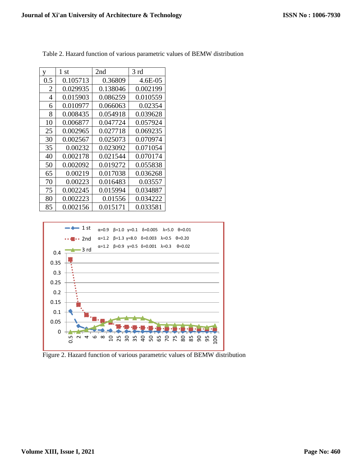| V   | 1 st     | 2nd      | 3 rd     |
|-----|----------|----------|----------|
| 0.5 | 0.105713 | 0.36809  | 4.6E-05  |
| 2   | 0.029935 | 0.138046 | 0.002199 |
| 4   | 0.015903 | 0.086259 | 0.010559 |
| 6   | 0.010977 | 0.066063 | 0.02354  |
| 8   | 0.008435 | 0.054918 | 0.039628 |
| 10  | 0.006877 | 0.047724 | 0.057924 |
| 25  | 0.002965 | 0.027718 | 0.069235 |
| 30  | 0.002567 | 0.025073 | 0.070974 |
| 35  | 0.00232  | 0.023092 | 0.071054 |
| 40  | 0.002178 | 0.021544 | 0.070174 |
| 50  | 0.002092 | 0.019272 | 0.055838 |
| 65  | 0.00219  | 0.017038 | 0.036268 |
| 70  | 0.00223  | 0.016483 | 0.03557  |
| 75  | 0.002245 | 0.015994 | 0.034887 |
| 80  | 0.002223 | 0.01556  | 0.034222 |
| 85  | 0.002156 | 0.015171 | 0.033581 |

Table 2. Hazard function of various parametric values of BEMW distribution



Figure 2. Hazard function of various parametric values of BEMW distribution